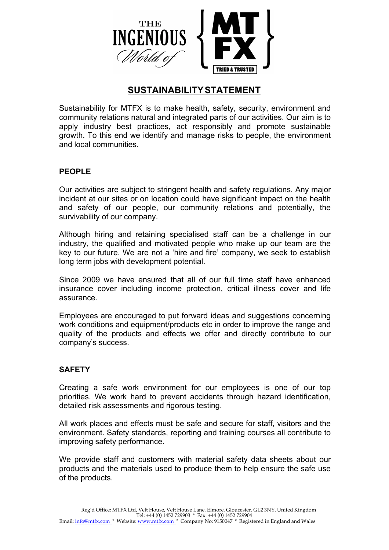

# **SUSTAINABILITYSTATEMENT**

Sustainability for MTFX is to make health, safety, security, environment and community relations natural and integrated parts of our activities. Our aim is to apply industry best practices, act responsibly and promote sustainable growth. To this end we identify and manage risks to people, the environment and local communities.

### **PEOPLE**

Our activities are subject to stringent health and safety regulations. Any major incident at our sites or on location could have significant impact on the health and safety of our people, our community relations and potentially, the survivability of our company.

Although hiring and retaining specialised staff can be a challenge in our industry, the qualified and motivated people who make up our team are the key to our future. We are not a 'hire and fire' company, we seek to establish long term jobs with development potential.

Since 2009 we have ensured that all of our full time staff have enhanced insurance cover including income protection, critical illness cover and life assurance.

Employees are encouraged to put forward ideas and suggestions concerning work conditions and equipment/products etc in order to improve the range and quality of the products and effects we offer and directly contribute to our company's success.

## **SAFETY**

Creating a safe work environment for our employees is one of our top priorities. We work hard to prevent accidents through hazard identification, detailed risk assessments and rigorous testing.

All work places and effects must be safe and secure for staff, visitors and the environment. Safety standards, reporting and training courses all contribute to improving safety performance.

We provide staff and customers with material safety data sheets about our products and the materials used to produce them to help ensure the safe use of the products.